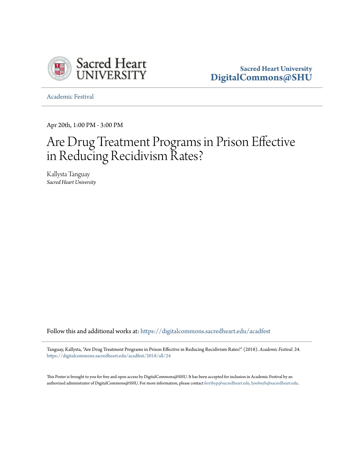

**Sacred Heart University [DigitalCommons@SHU](https://digitalcommons.sacredheart.edu?utm_source=digitalcommons.sacredheart.edu%2Facadfest%2F2018%2Fall%2F24&utm_medium=PDF&utm_campaign=PDFCoverPages)**

[Academic Festival](https://digitalcommons.sacredheart.edu/acadfest?utm_source=digitalcommons.sacredheart.edu%2Facadfest%2F2018%2Fall%2F24&utm_medium=PDF&utm_campaign=PDFCoverPages)

Apr 20th, 1:00 PM - 3:00 PM

# Are Drug Treatment Programs in Prison Effective in Reducing Recidivism Rates?

Kallysta Tanguay *Sacred Heart University*

Follow this and additional works at: [https://digitalcommons.sacredheart.edu/acadfest](https://digitalcommons.sacredheart.edu/acadfest?utm_source=digitalcommons.sacredheart.edu%2Facadfest%2F2018%2Fall%2F24&utm_medium=PDF&utm_campaign=PDFCoverPages)

Tanguay, Kallysta, "Are Drug Treatment Programs in Prison Effective in Reducing Recidivism Rates?" (2018). *Academic Festival*. 24. [https://digitalcommons.sacredheart.edu/acadfest/2018/all/24](https://digitalcommons.sacredheart.edu/acadfest/2018/all/24?utm_source=digitalcommons.sacredheart.edu%2Facadfest%2F2018%2Fall%2F24&utm_medium=PDF&utm_campaign=PDFCoverPages)

This Poster is brought to you for free and open access by DigitalCommons@SHU. It has been accepted for inclusion in Academic Festival by an authorized administrator of DigitalCommons@SHU. For more information, please contact [ferribyp@sacredheart.edu, lysobeyb@sacredheart.edu](mailto:ferribyp@sacredheart.edu,%20lysobeyb@sacredheart.edu).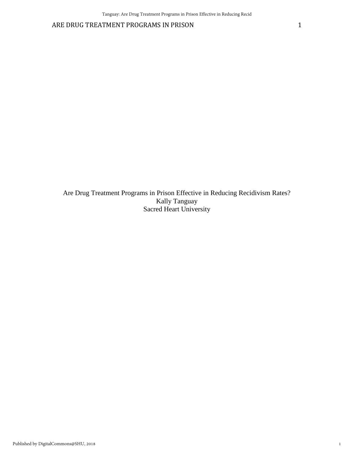Are Drug Treatment Programs in Prison Effective in Reducing Recidivism Rates? Kally Tanguay Sacred Heart University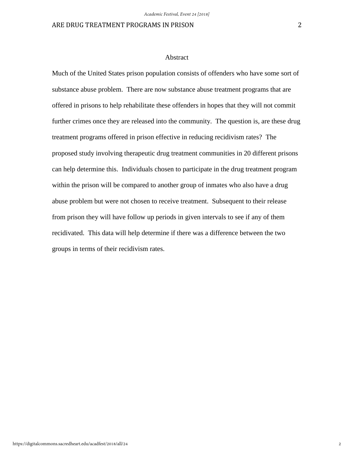# Abstract

Much of the United States prison population consists of offenders who have some sort of substance abuse problem. There are now substance abuse treatment programs that are offered in prisons to help rehabilitate these offenders in hopes that they will not commit further crimes once they are released into the community. The question is, are these drug treatment programs offered in prison effective in reducing recidivism rates? The proposed study involving therapeutic drug treatment communities in 20 different prisons can help determine this. Individuals chosen to participate in the drug treatment program within the prison will be compared to another group of inmates who also have a drug abuse problem but were not chosen to receive treatment. Subsequent to their release from prison they will have follow up periods in given intervals to see if any of them recidivated. This data will help determine if there was a difference between the two groups in terms of their recidivism rates.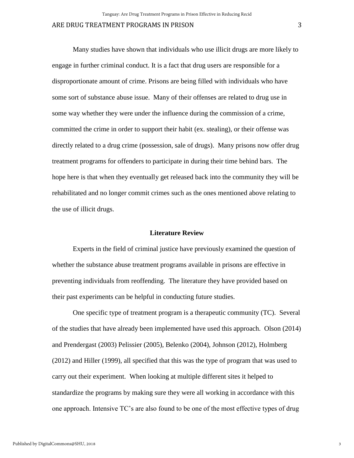Many studies have shown that individuals who use illicit drugs are more likely to engage in further criminal conduct. It is a fact that drug users are responsible for a disproportionate amount of crime. Prisons are being filled with individuals who have some sort of substance abuse issue. Many of their offenses are related to drug use in some way whether they were under the influence during the commission of a crime, committed the crime in order to support their habit (ex. stealing), or their offense was directly related to a drug crime (possession, sale of drugs). Many prisons now offer drug treatment programs for offenders to participate in during their time behind bars. The hope here is that when they eventually get released back into the community they will be rehabilitated and no longer commit crimes such as the ones mentioned above relating to the use of illicit drugs.

# **Literature Review**

Experts in the field of criminal justice have previously examined the question of whether the substance abuse treatment programs available in prisons are effective in preventing individuals from reoffending. The literature they have provided based on their past experiments can be helpful in conducting future studies.

One specific type of treatment program is a therapeutic community (TC). Several of the studies that have already been implemented have used this approach. Olson (2014) and Prendergast (2003) Pelissier (2005), Belenko (2004), Johnson (2012), Holmberg (2012) and Hiller (1999), all specified that this was the type of program that was used to carry out their experiment. When looking at multiple different sites it helped to standardize the programs by making sure they were all working in accordance with this one approach. Intensive TC's are also found to be one of the most effective types of drug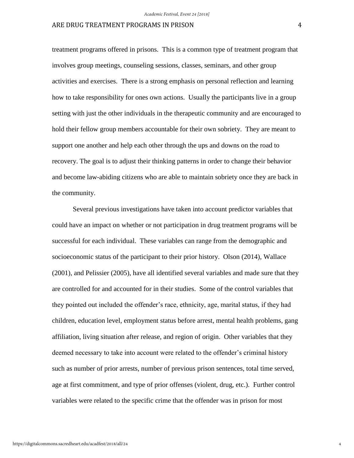treatment programs offered in prisons. This is a common type of treatment program that involves group meetings, counseling sessions, classes, seminars, and other group activities and exercises. There is a strong emphasis on personal reflection and learning how to take responsibility for ones own actions. Usually the participants live in a group setting with just the other individuals in the therapeutic community and are encouraged to hold their fellow group members accountable for their own sobriety. They are meant to support one another and help each other through the ups and downs on the road to recovery. The goal is to adjust their thinking patterns in order to change their behavior and become law-abiding citizens who are able to maintain sobriety once they are back in the community.

Several previous investigations have taken into account predictor variables that could have an impact on whether or not participation in drug treatment programs will be successful for each individual. These variables can range from the demographic and socioeconomic status of the participant to their prior history. Olson (2014), Wallace (2001), and Pelissier (2005), have all identified several variables and made sure that they are controlled for and accounted for in their studies. Some of the control variables that they pointed out included the offender's race, ethnicity, age, marital status, if they had children, education level, employment status before arrest, mental health problems, gang affiliation, living situation after release, and region of origin. Other variables that they deemed necessary to take into account were related to the offender's criminal history such as number of prior arrests, number of previous prison sentences, total time served, age at first commitment, and type of prior offenses (violent, drug, etc.). Further control variables were related to the specific crime that the offender was in prison for most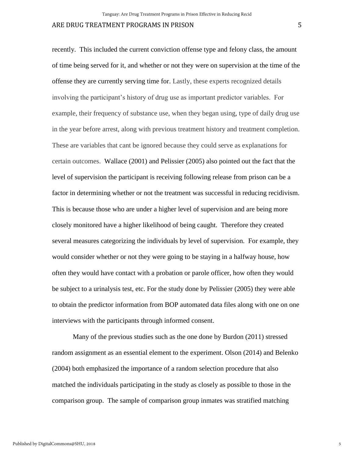recently. This included the current conviction offense type and felony class, the amount of time being served for it, and whether or not they were on supervision at the time of the offense they are currently serving time for. Lastly, these experts recognized details involving the participant's history of drug use as important predictor variables. For example, their frequency of substance use, when they began using, type of daily drug use in the year before arrest, along with previous treatment history and treatment completion. These are variables that cant be ignored because they could serve as explanations for certain outcomes. Wallace (2001) and Pelissier (2005) also pointed out the fact that the level of supervision the participant is receiving following release from prison can be a factor in determining whether or not the treatment was successful in reducing recidivism. This is because those who are under a higher level of supervision and are being more closely monitored have a higher likelihood of being caught. Therefore they created several measures categorizing the individuals by level of supervision. For example, they would consider whether or not they were going to be staying in a halfway house, how often they would have contact with a probation or parole officer, how often they would be subject to a urinalysis test, etc. For the study done by Pelissier (2005) they were able to obtain the predictor information from BOP automated data files along with one on one interviews with the participants through informed consent.

Many of the previous studies such as the one done by Burdon (2011) stressed random assignment as an essential element to the experiment. Olson (2014) and Belenko (2004) both emphasized the importance of a random selection procedure that also matched the individuals participating in the study as closely as possible to those in the comparison group. The sample of comparison group inmates was stratified matching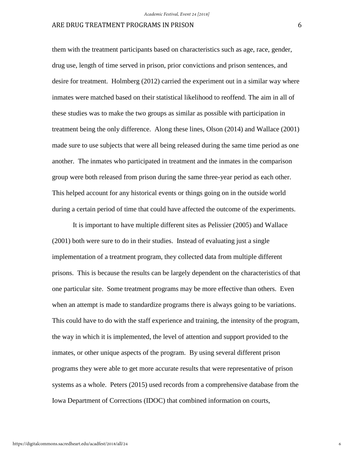them with the treatment participants based on characteristics such as age, race, gender, drug use, length of time served in prison, prior convictions and prison sentences, and desire for treatment. Holmberg (2012) carried the experiment out in a similar way where inmates were matched based on their statistical likelihood to reoffend. The aim in all of these studies was to make the two groups as similar as possible with participation in treatment being the only difference. Along these lines, Olson (2014) and Wallace (2001) made sure to use subjects that were all being released during the same time period as one another. The inmates who participated in treatment and the inmates in the comparison group were both released from prison during the same three-year period as each other. This helped account for any historical events or things going on in the outside world during a certain period of time that could have affected the outcome of the experiments.

It is important to have multiple different sites as Pelissier (2005) and Wallace (2001) both were sure to do in their studies. Instead of evaluating just a single implementation of a treatment program, they collected data from multiple different prisons. This is because the results can be largely dependent on the characteristics of that one particular site. Some treatment programs may be more effective than others. Even when an attempt is made to standardize programs there is always going to be variations. This could have to do with the staff experience and training, the intensity of the program, the way in which it is implemented, the level of attention and support provided to the inmates, or other unique aspects of the program. By using several different prison programs they were able to get more accurate results that were representative of prison systems as a whole.Peters (2015) used records from a comprehensive database from the Iowa Department of Corrections (IDOC) that combined information on courts,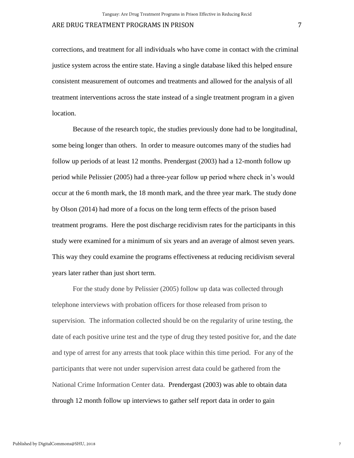corrections, and treatment for all individuals who have come in contact with the criminal justice system across the entire state. Having a single database liked this helped ensure consistent measurement of outcomes and treatments and allowed for the analysis of all treatment interventions across the state instead of a single treatment program in a given location.

Because of the research topic, the studies previously done had to be longitudinal, some being longer than others. In order to measure outcomes many of the studies had follow up periods of at least 12 months. Prendergast (2003) had a 12-month follow up period while Pelissier (2005) had a three-year follow up period where check in's would occur at the 6 month mark, the 18 month mark, and the three year mark. The study done by Olson (2014) had more of a focus on the long term effects of the prison based treatment programs. Here the post discharge recidivism rates for the participants in this study were examined for a minimum of six years and an average of almost seven years. This way they could examine the programs effectiveness at reducing recidivism several years later rather than just short term.

For the study done by Pelissier (2005) follow up data was collected through telephone interviews with probation officers for those released from prison to supervision. The information collected should be on the regularity of urine testing, the date of each positive urine test and the type of drug they tested positive for, and the date and type of arrest for any arrests that took place within this time period. For any of the participants that were not under supervision arrest data could be gathered from the National Crime Information Center data. Prendergast (2003) was able to obtain data through 12 month follow up interviews to gather self report data in order to gain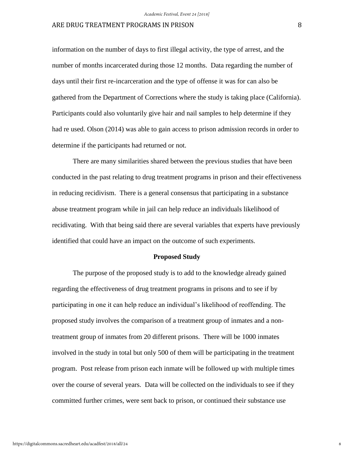information on the number of days to first illegal activity, the type of arrest, and the number of months incarcerated during those 12 months. Data regarding the number of days until their first re-incarceration and the type of offense it was for can also be gathered from the Department of Corrections where the study is taking place (California). Participants could also voluntarily give hair and nail samples to help determine if they had re used. Olson (2014) was able to gain access to prison admission records in order to determine if the participants had returned or not.

There are many similarities shared between the previous studies that have been conducted in the past relating to drug treatment programs in prison and their effectiveness in reducing recidivism. There is a general consensus that participating in a substance abuse treatment program while in jail can help reduce an individuals likelihood of recidivating. With that being said there are several variables that experts have previously identified that could have an impact on the outcome of such experiments.

#### **Proposed Study**

The purpose of the proposed study is to add to the knowledge already gained regarding the effectiveness of drug treatment programs in prisons and to see if by participating in one it can help reduce an individual's likelihood of reoffending. The proposed study involves the comparison of a treatment group of inmates and a nontreatment group of inmates from 20 different prisons. There will be 1000 inmates involved in the study in total but only 500 of them will be participating in the treatment program. Post release from prison each inmate will be followed up with multiple times over the course of several years. Data will be collected on the individuals to see if they committed further crimes, were sent back to prison, or continued their substance use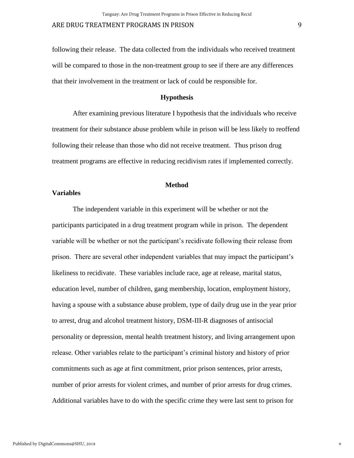following their release. The data collected from the individuals who received treatment will be compared to those in the non-treatment group to see if there are any differences that their involvement in the treatment or lack of could be responsible for.

#### **Hypothesis**

After examining previous literature I hypothesis that the individuals who receive treatment for their substance abuse problem while in prison will be less likely to reoffend following their release than those who did not receive treatment. Thus prison drug treatment programs are effective in reducing recidivism rates if implemented correctly.

#### **Method**

#### **Variables**

The independent variable in this experiment will be whether or not the participants participated in a drug treatment program while in prison. The dependent variable will be whether or not the participant's recidivate following their release from prison. There are several other independent variables that may impact the participant's likeliness to recidivate. These variables include race, age at release, marital status, education level, number of children, gang membership, location, employment history, having a spouse with a substance abuse problem, type of daily drug use in the year prior to arrest, drug and alcohol treatment history, DSM-III-R diagnoses of antisocial personality or depression, mental health treatment history, and living arrangement upon release. Other variables relate to the participant's criminal history and history of prior commitments such as age at first commitment, prior prison sentences, prior arrests, number of prior arrests for violent crimes, and number of prior arrests for drug crimes. Additional variables have to do with the specific crime they were last sent to prison for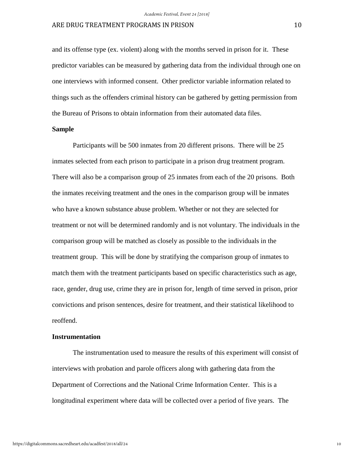and its offense type (ex. violent) along with the months served in prison for it. These predictor variables can be measured by gathering data from the individual through one on one interviews with informed consent. Other predictor variable information related to things such as the offenders criminal history can be gathered by getting permission from the Bureau of Prisons to obtain information from their automated data files.

# **Sample**

Participants will be 500 inmates from 20 different prisons. There will be 25 inmates selected from each prison to participate in a prison drug treatment program. There will also be a comparison group of 25 inmates from each of the 20 prisons. Both the inmates receiving treatment and the ones in the comparison group will be inmates who have a known substance abuse problem. Whether or not they are selected for treatment or not will be determined randomly and is not voluntary. The individuals in the comparison group will be matched as closely as possible to the individuals in the treatment group. This will be done by stratifying the comparison group of inmates to match them with the treatment participants based on specific characteristics such as age, race, gender, drug use, crime they are in prison for, length of time served in prison, prior convictions and prison sentences, desire for treatment, and their statistical likelihood to reoffend.

## **Instrumentation**

The instrumentation used to measure the results of this experiment will consist of interviews with probation and parole officers along with gathering data from the Department of Corrections and the National Crime Information Center. This is a longitudinal experiment where data will be collected over a period of five years. The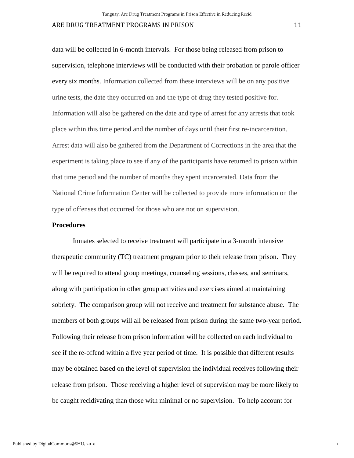data will be collected in 6-month intervals. For those being released from prison to supervision, telephone interviews will be conducted with their probation or parole officer every six months. Information collected from these interviews will be on any positive urine tests, the date they occurred on and the type of drug they tested positive for. Information will also be gathered on the date and type of arrest for any arrests that took place within this time period and the number of days until their first re-incarceration. Arrest data will also be gathered from the Department of Corrections in the area that the experiment is taking place to see if any of the participants have returned to prison within that time period and the number of months they spent incarcerated. Data from the National Crime Information Center will be collected to provide more information on the type of offenses that occurred for those who are not on supervision.

## **Procedures**

Inmates selected to receive treatment will participate in a 3-month intensive therapeutic community (TC) treatment program prior to their release from prison. They will be required to attend group meetings, counseling sessions, classes, and seminars, along with participation in other group activities and exercises aimed at maintaining sobriety. The comparison group will not receive and treatment for substance abuse. The members of both groups will all be released from prison during the same two-year period. Following their release from prison information will be collected on each individual to see if the re-offend within a five year period of time. It is possible that different results may be obtained based on the level of supervision the individual receives following their release from prison. Those receiving a higher level of supervision may be more likely to be caught recidivating than those with minimal or no supervision. To help account for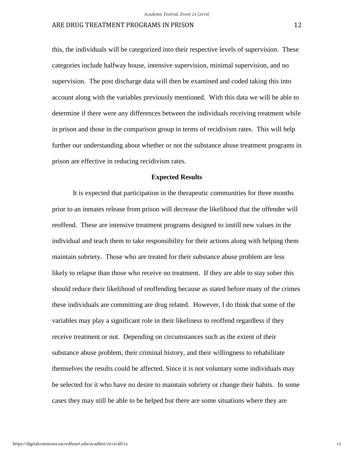this, the individuals will be categorized into their respective levels of supervision. These categories include halfway house, intensive supervision, minimal supervision, and no supervision. The post discharge data will then be examined and coded taking this into account along with the variables previously mentioned. With this data we will be able to determine if there were any differences between the individuals receiving treatment while in prison and those in the comparison group in terms of recidivism rates. This will help further our understanding about whether or not the substance abuse treatment programs in prison are effective in reducing recidivism rates.

#### **Expected Results**

It is expected that participation in the therapeutic communities for three months prior to an inmates release from prison will decrease the likelihood that the offender will reoffend. These are intensive treatment programs designed to instill new values in the individual and teach them to take responsibility for their actions along with helping them maintain sobriety. Those who are treated for their substance abuse problem are less likely to relapse than those who receive no treatment. If they are able to stay sober this should reduce their likelihood of reoffending because as stated before many of the crimes these individuals are committing are drug related. However, I do think that some of the variables may play a significant role in their likeliness to reoffend regardless if they receive treatment or not. Depending on circumstances such as the extent of their substance abuse problem, their criminal history, and their willingness to rehabilitate themselves the results could be affected. Since it is not voluntary some individuals may be selected for it who have no desire to maintain sobriety or change their habits. In some cases they may still be able to be helped but there are some situations where they are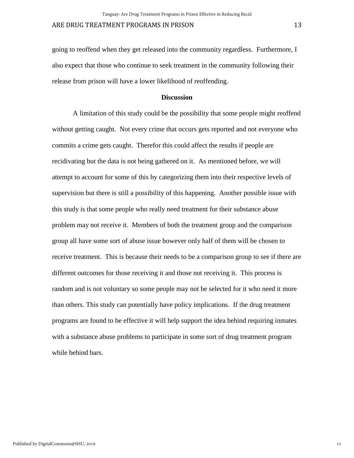going to reoffend when they get released into the community regardless. Furthermore, I also expect that those who continue to seek treatment in the community following their release from prison will have a lower likelihood of reoffending.

#### **Discussion**

A limitation of this study could be the possibility that some people might reoffend without getting caught. Not every crime that occurs gets reported and not everyone who commits a crime gets caught. Therefor this could affect the results if people are recidivating but the data is not being gathered on it. As mentioned before, we will attempt to account for some of this by categorizing them into their respective levels of supervision but there is still a possibility of this happening. Another possible issue with this study is that some people who really need treatment for their substance abuse problem may not receive it. Members of both the treatment group and the comparison group all have some sort of abuse issue however only half of them will be chosen to receive treatment. This is because their needs to be a comparison group to see if there are different outcomes for those receiving it and those not receiving it. This process is random and is not voluntary so some people may not be selected for it who need it more than others. This study can potentially have policy implications. If the drug treatment programs are found to be effective it will help support the idea behind requiring inmates with a substance abuse problems to participate in some sort of drug treatment program while behind bars.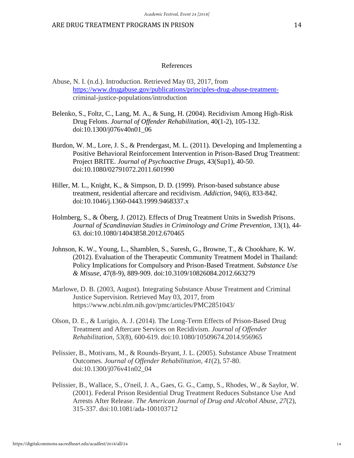#### References

- Abuse, N. I. (n.d.). Introduction. Retrieved May 03, 2017, from [https://www.drugabuse.gov/publications/principles-drug-abuse-treatment](https://www.drugabuse.gov/publications/principles-drug-abuse-treatment-)criminal-justice-populations/introduction
- Belenko, S., Foltz, C., Lang, M. A., & Sung, H. (2004). Recidivism Among High-Risk Drug Felons. *Journal of Offender Rehabilitation*, 40(1-2), 105-132. doi:10.1300/j076v40n01\_06
- Burdon, W. M., Lore, J. S., & Prendergast, M. L. (2011). Developing and Implementing a Positive Behavioral Reinforcement Intervention in Prison-Based Drug Treatment: Project BRITE. *Journal of Psychoactive Drugs*, 43(Sup1), 40-50. doi:10.1080/02791072.2011.601990
- Hiller, M. L., Knight, K., & Simpson, D. D. (1999). Prison-based substance abuse treatment, residential aftercare and recidivism. *Addiction*, 94(6), 833-842. doi:10.1046/j.1360-0443.1999.9468337.x
- Holmberg, S., & Öberg, J. (2012). Effects of Drug Treatment Units in Swedish Prisons. *Journal of Scandinavian Studies in Criminology and Crime Prevention*, 13(1), 44- 63. doi:10.1080/14043858.2012.670465
- Johnson, K. W., Young, L., Shamblen, S., Suresh, G., Browne, T., & Chookhare, K. W. (2012). Evaluation of the Therapeutic Community Treatment Model in Thailand: Policy Implications for Compulsory and Prison-Based Treatment. *Substance Use & Misuse*, 47(8-9), 889-909. doi:10.3109/10826084.2012.663279
- Marlowe, D. B. (2003, August). Integrating Substance Abuse Treatment and Criminal Justice Supervision. Retrieved May 03, 2017, from https://www.ncbi.nlm.nih.gov/pmc/articles/PMC2851043/
- Olson, D. E., & Lurigio, A. J. (2014). The Long-Term Effects of Prison-Based Drug Treatment and Aftercare Services on Recidivism. *Journal of Offender Rehabilitation, 53*(8), 600-619. doi:10.1080/10509674.2014.956965
- Pelissier, B., Motivans, M., & Rounds-Bryant, J. L. (2005). Substance Abuse Treatment Outcomes. *Journal of Offender Rehabilitation, 41*(2), 57-80. doi:10.1300/j076v41n02\_04
- Pelissier, B., Wallace, S., O'neil, J. A., Gaes, G. G., Camp, S., Rhodes, W., & Saylor, W. (2001). Federal Prison Residential Drug Treatment Reduces Substance Use And Arrests After Release. *The American Journal of Drug and Alcohol Abuse, 27*(2), 315-337. doi:10.1081/ada-100103712